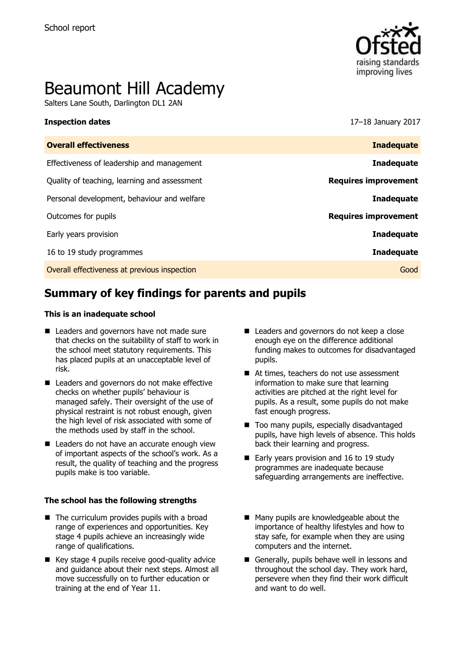

# Beaumont Hill Academy

Salters Lane South, Darlington DL1 2AN

**Inspection dates** 17–18 January 2017

| <b>Overall effectiveness</b>                 | <b>Inadequate</b>           |
|----------------------------------------------|-----------------------------|
| Effectiveness of leadership and management   | <b>Inadequate</b>           |
| Quality of teaching, learning and assessment | <b>Requires improvement</b> |
| Personal development, behaviour and welfare  | <b>Inadequate</b>           |
| Outcomes for pupils                          | <b>Requires improvement</b> |
| Early years provision                        | <b>Inadequate</b>           |
| 16 to 19 study programmes                    | <b>Inadequate</b>           |
| Overall effectiveness at previous inspection | Good                        |
|                                              |                             |

# **Summary of key findings for parents and pupils**

#### **This is an inadequate school**

- Leaders and governors have not made sure that checks on the suitability of staff to work in the school meet statutory requirements. This has placed pupils at an unacceptable level of risk.
- Leaders and governors do not make effective checks on whether pupils' behaviour is managed safely. Their oversight of the use of physical restraint is not robust enough, given the high level of risk associated with some of the methods used by staff in the school.
- Leaders do not have an accurate enough view of important aspects of the school's work. As a result, the quality of teaching and the progress pupils make is too variable.

#### **The school has the following strengths**

- $\blacksquare$  The curriculum provides pupils with a broad range of experiences and opportunities. Key stage 4 pupils achieve an increasingly wide range of qualifications.
- Key stage 4 pupils receive good-quality advice and guidance about their next steps. Almost all move successfully on to further education or training at the end of Year 11.
- Leaders and governors do not keep a close enough eye on the difference additional funding makes to outcomes for disadvantaged pupils.
- At times, teachers do not use assessment information to make sure that learning activities are pitched at the right level for pupils. As a result, some pupils do not make fast enough progress.
- Too many pupils, especially disadvantaged pupils, have high levels of absence. This holds back their learning and progress.
- Early years provision and 16 to 19 study programmes are inadequate because safeguarding arrangements are ineffective.
- Many pupils are knowledgeable about the importance of healthy lifestyles and how to stay safe, for example when they are using computers and the internet.
- Generally, pupils behave well in lessons and throughout the school day. They work hard, persevere when they find their work difficult and want to do well.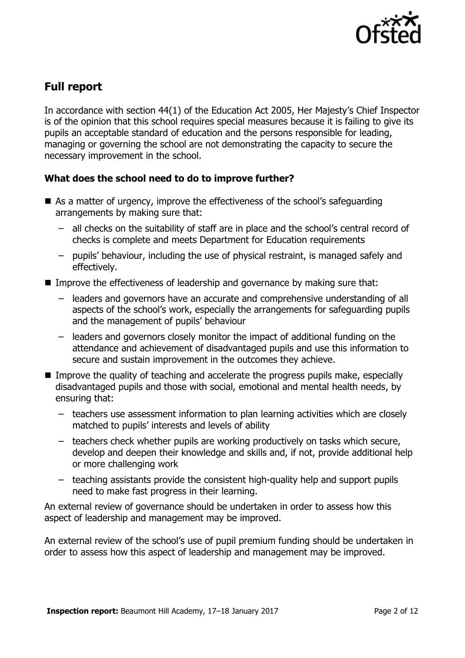

# **Full report**

In accordance with section 44(1) of the Education Act 2005, Her Majesty's Chief Inspector is of the opinion that this school requires special measures because it is failing to give its pupils an acceptable standard of education and the persons responsible for leading, managing or governing the school are not demonstrating the capacity to secure the necessary improvement in the school.

### **What does the school need to do to improve further?**

- As a matter of urgency, improve the effectiveness of the school's safeguarding arrangements by making sure that:
	- all checks on the suitability of staff are in place and the school's central record of checks is complete and meets Department for Education requirements
	- pupils' behaviour, including the use of physical restraint, is managed safely and effectively.
- Improve the effectiveness of leadership and governance by making sure that:
	- leaders and governors have an accurate and comprehensive understanding of all aspects of the school's work, especially the arrangements for safeguarding pupils and the management of pupils' behaviour
	- leaders and governors closely monitor the impact of additional funding on the attendance and achievement of disadvantaged pupils and use this information to secure and sustain improvement in the outcomes they achieve.
- Improve the quality of teaching and accelerate the progress pupils make, especially disadvantaged pupils and those with social, emotional and mental health needs, by ensuring that:
	- teachers use assessment information to plan learning activities which are closely matched to pupils' interests and levels of ability
	- teachers check whether pupils are working productively on tasks which secure, develop and deepen their knowledge and skills and, if not, provide additional help or more challenging work
	- teaching assistants provide the consistent high-quality help and support pupils need to make fast progress in their learning.

An external review of governance should be undertaken in order to assess how this aspect of leadership and management may be improved.

An external review of the school's use of pupil premium funding should be undertaken in order to assess how this aspect of leadership and management may be improved.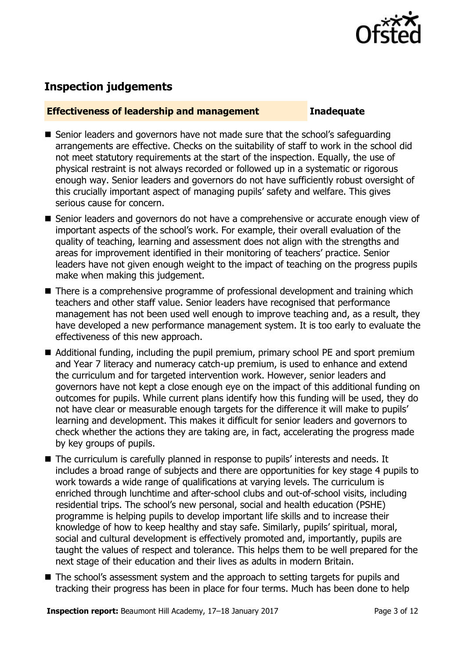

## **Inspection judgements**

#### **Effectiveness of leadership and management Inadequate**

- Senior leaders and governors have not made sure that the school's safeguarding arrangements are effective. Checks on the suitability of staff to work in the school did not meet statutory requirements at the start of the inspection. Equally, the use of physical restraint is not always recorded or followed up in a systematic or rigorous enough way. Senior leaders and governors do not have sufficiently robust oversight of this crucially important aspect of managing pupils' safety and welfare. This gives serious cause for concern.
- Senior leaders and governors do not have a comprehensive or accurate enough view of important aspects of the school's work. For example, their overall evaluation of the quality of teaching, learning and assessment does not align with the strengths and areas for improvement identified in their monitoring of teachers' practice. Senior leaders have not given enough weight to the impact of teaching on the progress pupils make when making this judgement.
- There is a comprehensive programme of professional development and training which teachers and other staff value. Senior leaders have recognised that performance management has not been used well enough to improve teaching and, as a result, they have developed a new performance management system. It is too early to evaluate the effectiveness of this new approach.
- Additional funding, including the pupil premium, primary school PE and sport premium and Year 7 literacy and numeracy catch-up premium, is used to enhance and extend the curriculum and for targeted intervention work. However, senior leaders and governors have not kept a close enough eye on the impact of this additional funding on outcomes for pupils. While current plans identify how this funding will be used, they do not have clear or measurable enough targets for the difference it will make to pupils' learning and development. This makes it difficult for senior leaders and governors to check whether the actions they are taking are, in fact, accelerating the progress made by key groups of pupils.
- The curriculum is carefully planned in response to pupils' interests and needs. It includes a broad range of subjects and there are opportunities for key stage 4 pupils to work towards a wide range of qualifications at varying levels. The curriculum is enriched through lunchtime and after-school clubs and out-of-school visits, including residential trips. The school's new personal, social and health education (PSHE) programme is helping pupils to develop important life skills and to increase their knowledge of how to keep healthy and stay safe. Similarly, pupils' spiritual, moral, social and cultural development is effectively promoted and, importantly, pupils are taught the values of respect and tolerance. This helps them to be well prepared for the next stage of their education and their lives as adults in modern Britain.
- The school's assessment system and the approach to setting targets for pupils and tracking their progress has been in place for four terms. Much has been done to help

**Inspection report:** Beaumont Hill Academy, 17–18 January 2017 **Page 3 of 12** Page 3 of 12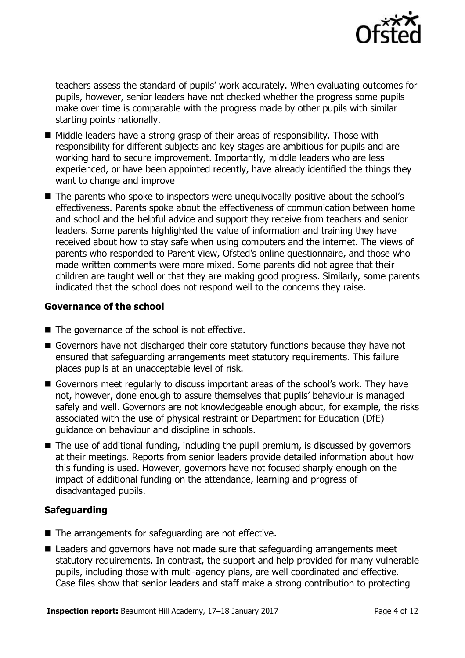

teachers assess the standard of pupils' work accurately. When evaluating outcomes for pupils, however, senior leaders have not checked whether the progress some pupils make over time is comparable with the progress made by other pupils with similar starting points nationally.

- $\blacksquare$  Middle leaders have a strong grasp of their areas of responsibility. Those with responsibility for different subjects and key stages are ambitious for pupils and are working hard to secure improvement. Importantly, middle leaders who are less experienced, or have been appointed recently, have already identified the things they want to change and improve
- The parents who spoke to inspectors were unequivocally positive about the school's effectiveness. Parents spoke about the effectiveness of communication between home and school and the helpful advice and support they receive from teachers and senior leaders. Some parents highlighted the value of information and training they have received about how to stay safe when using computers and the internet. The views of parents who responded to Parent View, Ofsted's online questionnaire, and those who made written comments were more mixed. Some parents did not agree that their children are taught well or that they are making good progress. Similarly, some parents indicated that the school does not respond well to the concerns they raise.

### **Governance of the school**

- The governance of the school is not effective.
- Governors have not discharged their core statutory functions because they have not ensured that safeguarding arrangements meet statutory requirements. This failure places pupils at an unacceptable level of risk.
- Governors meet regularly to discuss important areas of the school's work. They have not, however, done enough to assure themselves that pupils' behaviour is managed safely and well. Governors are not knowledgeable enough about, for example, the risks associated with the use of physical restraint or Department for Education (DfE) guidance on behaviour and discipline in schools.
- The use of additional funding, including the pupil premium, is discussed by governors at their meetings. Reports from senior leaders provide detailed information about how this funding is used. However, governors have not focused sharply enough on the impact of additional funding on the attendance, learning and progress of disadvantaged pupils.

### **Safeguarding**

- The arrangements for safeguarding are not effective.
- Leaders and governors have not made sure that safeguarding arrangements meet statutory requirements. In contrast, the support and help provided for many vulnerable pupils, including those with multi-agency plans, are well coordinated and effective. Case files show that senior leaders and staff make a strong contribution to protecting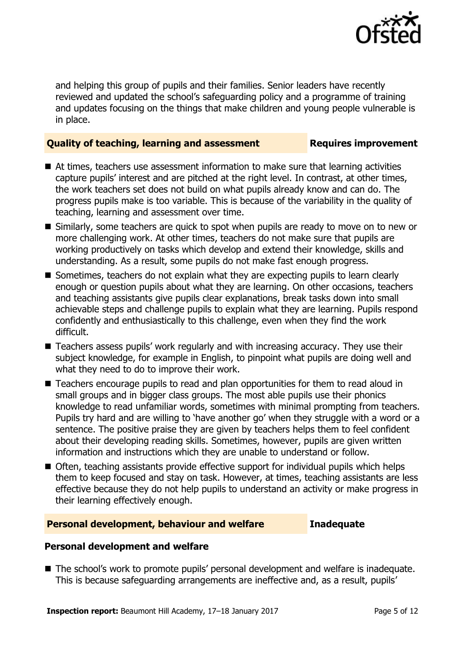

and helping this group of pupils and their families. Senior leaders have recently reviewed and updated the school's safeguarding policy and a programme of training and updates focusing on the things that make children and young people vulnerable is in place.

#### **Quality of teaching, learning and assessment Requires improvement**

- At times, teachers use assessment information to make sure that learning activities capture pupils' interest and are pitched at the right level. In contrast, at other times, the work teachers set does not build on what pupils already know and can do. The progress pupils make is too variable. This is because of the variability in the quality of teaching, learning and assessment over time.
- Similarly, some teachers are quick to spot when pupils are ready to move on to new or more challenging work. At other times, teachers do not make sure that pupils are working productively on tasks which develop and extend their knowledge, skills and understanding. As a result, some pupils do not make fast enough progress.
- Sometimes, teachers do not explain what they are expecting pupils to learn clearly enough or question pupils about what they are learning. On other occasions, teachers and teaching assistants give pupils clear explanations, break tasks down into small achievable steps and challenge pupils to explain what they are learning. Pupils respond confidently and enthusiastically to this challenge, even when they find the work difficult.
- Teachers assess pupils' work regularly and with increasing accuracy. They use their subject knowledge, for example in English, to pinpoint what pupils are doing well and what they need to do to improve their work.
- Teachers encourage pupils to read and plan opportunities for them to read aloud in small groups and in bigger class groups. The most able pupils use their phonics knowledge to read unfamiliar words, sometimes with minimal prompting from teachers. Pupils try hard and are willing to 'have another go' when they struggle with a word or a sentence. The positive praise they are given by teachers helps them to feel confident about their developing reading skills. Sometimes, however, pupils are given written information and instructions which they are unable to understand or follow.
- Often, teaching assistants provide effective support for individual pupils which helps them to keep focused and stay on task. However, at times, teaching assistants are less effective because they do not help pupils to understand an activity or make progress in their learning effectively enough.

### **Personal development, behaviour and welfare Inadequate**

### **Personal development and welfare**

■ The school's work to promote pupils' personal development and welfare is inadequate. This is because safeguarding arrangements are ineffective and, as a result, pupils'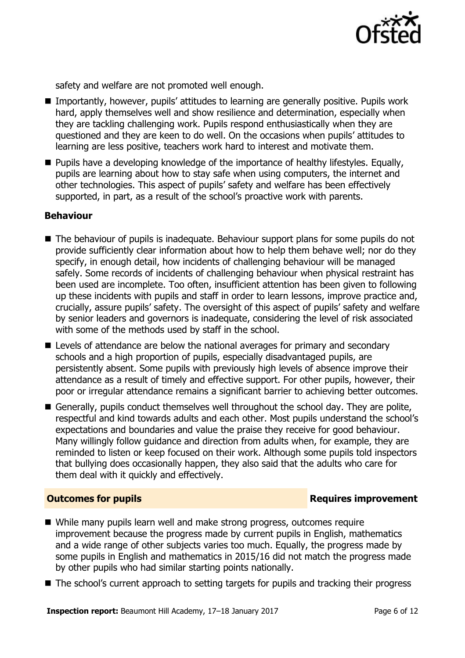

safety and welfare are not promoted well enough.

- Importantly, however, pupils' attitudes to learning are generally positive. Pupils work hard, apply themselves well and show resilience and determination, especially when they are tackling challenging work. Pupils respond enthusiastically when they are questioned and they are keen to do well. On the occasions when pupils' attitudes to learning are less positive, teachers work hard to interest and motivate them.
- **Pupils have a developing knowledge of the importance of healthy lifestyles. Equally,** pupils are learning about how to stay safe when using computers, the internet and other technologies. This aspect of pupils' safety and welfare has been effectively supported, in part, as a result of the school's proactive work with parents.

#### **Behaviour**

- The behaviour of pupils is inadequate. Behaviour support plans for some pupils do not provide sufficiently clear information about how to help them behave well; nor do they specify, in enough detail, how incidents of challenging behaviour will be managed safely. Some records of incidents of challenging behaviour when physical restraint has been used are incomplete. Too often, insufficient attention has been given to following up these incidents with pupils and staff in order to learn lessons, improve practice and, crucially, assure pupils' safety. The oversight of this aspect of pupils' safety and welfare by senior leaders and governors is inadequate, considering the level of risk associated with some of the methods used by staff in the school.
- Levels of attendance are below the national averages for primary and secondary schools and a high proportion of pupils, especially disadvantaged pupils, are persistently absent. Some pupils with previously high levels of absence improve their attendance as a result of timely and effective support. For other pupils, however, their poor or irregular attendance remains a significant barrier to achieving better outcomes.
- Generally, pupils conduct themselves well throughout the school day. They are polite, respectful and kind towards adults and each other. Most pupils understand the school's expectations and boundaries and value the praise they receive for good behaviour. Many willingly follow guidance and direction from adults when, for example, they are reminded to listen or keep focused on their work. Although some pupils told inspectors that bullying does occasionally happen, they also said that the adults who care for them deal with it quickly and effectively.

#### **Outcomes for pupils Requires improvement**

- While many pupils learn well and make strong progress, outcomes require improvement because the progress made by current pupils in English, mathematics and a wide range of other subjects varies too much. Equally, the progress made by some pupils in English and mathematics in 2015/16 did not match the progress made by other pupils who had similar starting points nationally.
- The school's current approach to setting targets for pupils and tracking their progress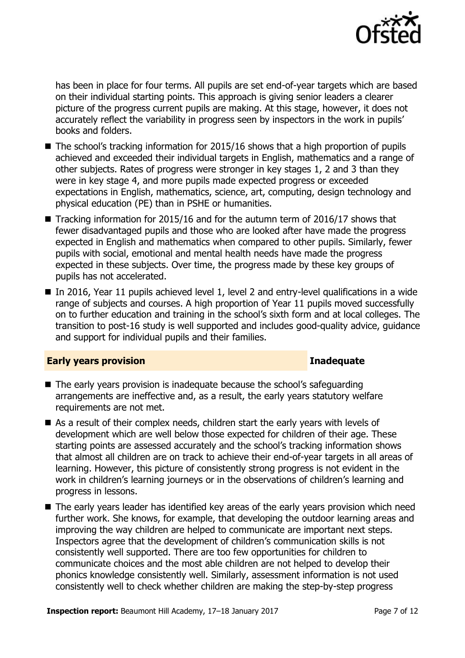

has been in place for four terms. All pupils are set end-of-year targets which are based on their individual starting points. This approach is giving senior leaders a clearer picture of the progress current pupils are making. At this stage, however, it does not accurately reflect the variability in progress seen by inspectors in the work in pupils' books and folders.

- $\blacksquare$  The school's tracking information for 2015/16 shows that a high proportion of pupils achieved and exceeded their individual targets in English, mathematics and a range of other subjects. Rates of progress were stronger in key stages 1, 2 and 3 than they were in key stage 4, and more pupils made expected progress or exceeded expectations in English, mathematics, science, art, computing, design technology and physical education (PE) than in PSHE or humanities.
- Tracking information for 2015/16 and for the autumn term of 2016/17 shows that fewer disadvantaged pupils and those who are looked after have made the progress expected in English and mathematics when compared to other pupils. Similarly, fewer pupils with social, emotional and mental health needs have made the progress expected in these subjects. Over time, the progress made by these key groups of pupils has not accelerated.
- In 2016, Year 11 pupils achieved level 1, level 2 and entry-level qualifications in a wide range of subjects and courses. A high proportion of Year 11 pupils moved successfully on to further education and training in the school's sixth form and at local colleges. The transition to post-16 study is well supported and includes good-quality advice, guidance and support for individual pupils and their families.

#### **Early years provision Inadequate**

- The early years provision is inadequate because the school's safeguarding arrangements are ineffective and, as a result, the early years statutory welfare requirements are not met.
- As a result of their complex needs, children start the early years with levels of development which are well below those expected for children of their age. These starting points are assessed accurately and the school's tracking information shows that almost all children are on track to achieve their end-of-year targets in all areas of learning. However, this picture of consistently strong progress is not evident in the work in children's learning journeys or in the observations of children's learning and progress in lessons.
- The early years leader has identified key areas of the early years provision which need further work. She knows, for example, that developing the outdoor learning areas and improving the way children are helped to communicate are important next steps. Inspectors agree that the development of children's communication skills is not consistently well supported. There are too few opportunities for children to communicate choices and the most able children are not helped to develop their phonics knowledge consistently well. Similarly, assessment information is not used consistently well to check whether children are making the step-by-step progress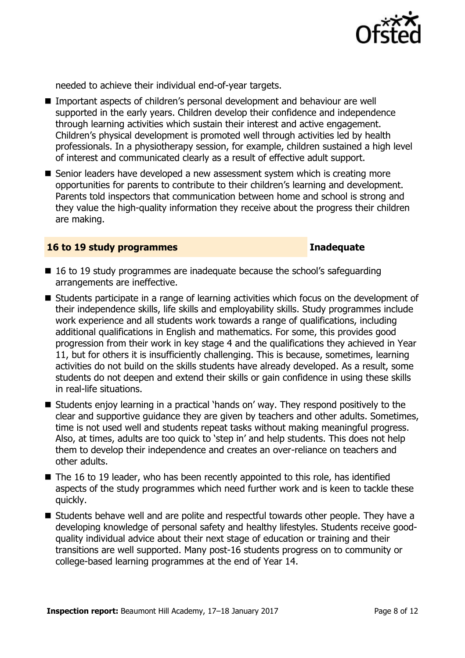

needed to achieve their individual end-of-year targets.

- Important aspects of children's personal development and behaviour are well supported in the early years. Children develop their confidence and independence through learning activities which sustain their interest and active engagement. Children's physical development is promoted well through activities led by health professionals. In a physiotherapy session, for example, children sustained a high level of interest and communicated clearly as a result of effective adult support.
- Senior leaders have developed a new assessment system which is creating more opportunities for parents to contribute to their children's learning and development. Parents told inspectors that communication between home and school is strong and they value the high-quality information they receive about the progress their children are making.

#### **16 to 19 study programmes Inadequate**

- 16 to 19 study programmes are inadequate because the school's safeguarding arrangements are ineffective.
- Students participate in a range of learning activities which focus on the development of their independence skills, life skills and employability skills. Study programmes include work experience and all students work towards a range of qualifications, including additional qualifications in English and mathematics. For some, this provides good progression from their work in key stage 4 and the qualifications they achieved in Year 11, but for others it is insufficiently challenging. This is because, sometimes, learning activities do not build on the skills students have already developed. As a result, some students do not deepen and extend their skills or gain confidence in using these skills in real-life situations.
- Students enjoy learning in a practical 'hands on' way. They respond positively to the clear and supportive guidance they are given by teachers and other adults. Sometimes, time is not used well and students repeat tasks without making meaningful progress. Also, at times, adults are too quick to 'step in' and help students. This does not help them to develop their independence and creates an over-reliance on teachers and other adults.
- $\blacksquare$  The 16 to 19 leader, who has been recently appointed to this role, has identified aspects of the study programmes which need further work and is keen to tackle these quickly.
- Students behave well and are polite and respectful towards other people. They have a developing knowledge of personal safety and healthy lifestyles. Students receive goodquality individual advice about their next stage of education or training and their transitions are well supported. Many post-16 students progress on to community or college-based learning programmes at the end of Year 14.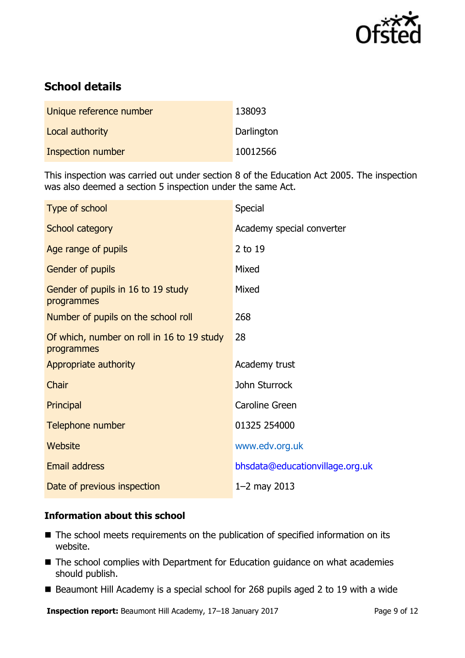

# **School details**

| Unique reference number | 138093     |
|-------------------------|------------|
| Local authority         | Darlington |
| Inspection number       | 10012566   |

This inspection was carried out under section 8 of the Education Act 2005. The inspection was also deemed a section 5 inspection under the same Act.

| Special                         |
|---------------------------------|
| Academy special converter       |
| 2 to 19                         |
| Mixed                           |
| Mixed                           |
| 268                             |
| 28                              |
| Academy trust                   |
| John Sturrock                   |
| Caroline Green                  |
| 01325 254000                    |
| www.edv.org.uk                  |
| bhsdata@educationvillage.org.uk |
| $1 - 2$ may 2013                |
|                                 |

### **Information about this school**

- The school meets requirements on the publication of specified information on its website.
- The school complies with Department for Education guidance on what academies should publish.
- Beaumont Hill Academy is a special school for 268 pupils aged 2 to 19 with a wide

**Inspection report:** Beaumont Hill Academy, 17-18 January 2017 Page 9 of 12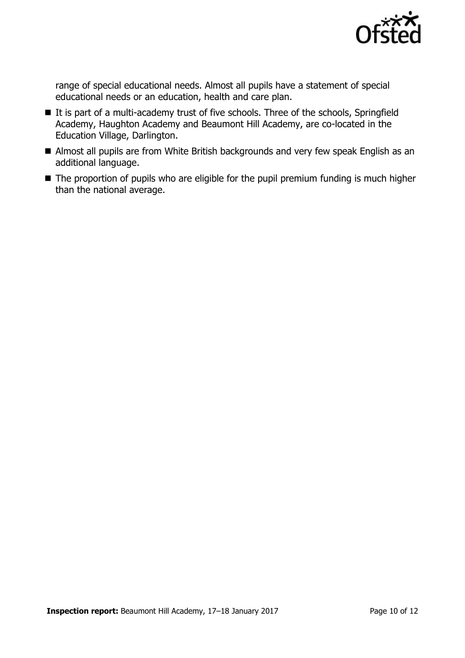

range of special educational needs. Almost all pupils have a statement of special educational needs or an education, health and care plan.

- It is part of a multi-academy trust of five schools. Three of the schools, Springfield Academy, Haughton Academy and Beaumont Hill Academy, are co-located in the Education Village, Darlington.
- Almost all pupils are from White British backgrounds and very few speak English as an additional language.
- $\blacksquare$  The proportion of pupils who are eligible for the pupil premium funding is much higher than the national average.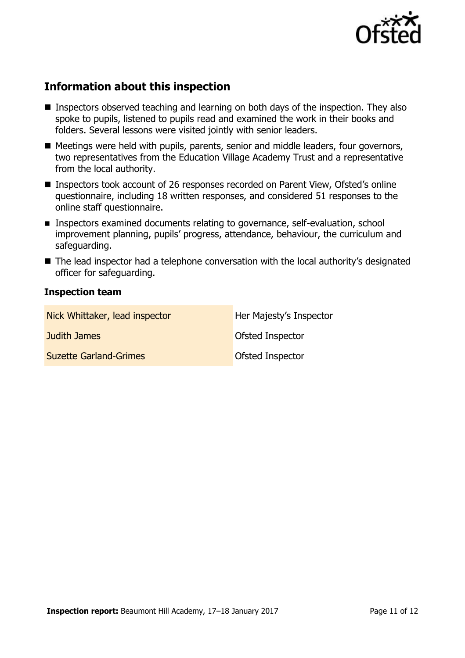

# **Information about this inspection**

- Inspectors observed teaching and learning on both days of the inspection. They also spoke to pupils, listened to pupils read and examined the work in their books and folders. Several lessons were visited jointly with senior leaders.
- Meetings were held with pupils, parents, senior and middle leaders, four governors, two representatives from the Education Village Academy Trust and a representative from the local authority.
- Inspectors took account of 26 responses recorded on Parent View, Ofsted's online questionnaire, including 18 written responses, and considered 51 responses to the online staff questionnaire.
- **Inspectors examined documents relating to governance, self-evaluation, school** improvement planning, pupils' progress, attendance, behaviour, the curriculum and safeguarding.
- The lead inspector had a telephone conversation with the local authority's designated officer for safeguarding.

#### **Inspection team**

| Nick Whittaker, lead inspector | Her Majesty's Inspector |
|--------------------------------|-------------------------|
| Judith James                   | Ofsted Inspector        |
| <b>Suzette Garland-Grimes</b>  | Ofsted Inspector        |